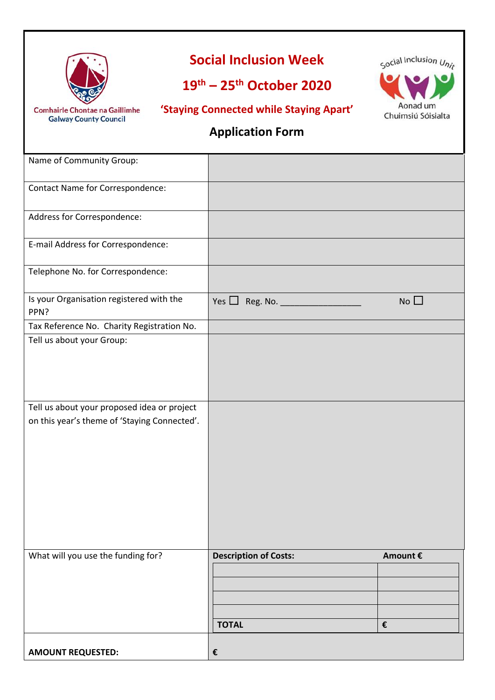

# **Social Inclusion Week**

# **19th – 25th October 2020**

**Comhairle Chontae na Gaillimhe Galway County Council** 

**'Staying Connected while Staying Apart'**



### **Application Form**

| Name of Community Group:                         |                                              |               |
|--------------------------------------------------|----------------------------------------------|---------------|
| Contact Name for Correspondence:                 |                                              |               |
| Address for Correspondence:                      |                                              |               |
| E-mail Address for Correspondence:               |                                              |               |
| Telephone No. for Correspondence:                |                                              |               |
| Is your Organisation registered with the<br>PPN? | Yes $\Box$<br>Reg. No. ______                | $No$ $\Box$   |
| Tax Reference No. Charity Registration No.       |                                              |               |
| Tell us about your Group:                        |                                              |               |
| Tell us about your proposed idea or project      |                                              |               |
| on this year's theme of 'Staying Connected'.     |                                              |               |
| What will you use the funding for?               | <b>Description of Costs:</b><br><b>TOTAL</b> | Amount €<br>€ |
| <b>AMOUNT REQUESTED:</b>                         | €                                            |               |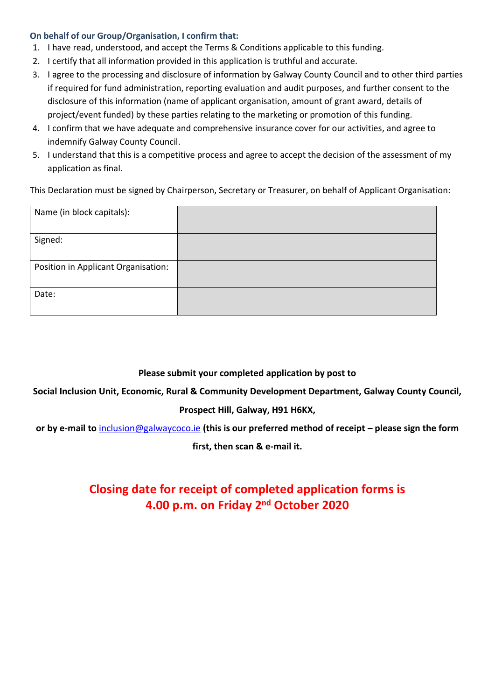#### **On behalf of our Group/Organisation, I confirm that:**

- 1. I have read, understood, and accept the Terms & Conditions applicable to this funding.
- 2. I certify that all information provided in this application is truthful and accurate.
- 3. I agree to the processing and disclosure of information by Galway County Council and to other third parties if required for fund administration, reporting evaluation and audit purposes, and further consent to the disclosure of this information (name of applicant organisation, amount of grant award, details of project/event funded) by these parties relating to the marketing or promotion of this funding.
- 4. I confirm that we have adequate and comprehensive insurance cover for our activities, and agree to indemnify Galway County Council.
- 5. I understand that this is a competitive process and agree to accept the decision of the assessment of my application as final.

This Declaration must be signed by Chairperson, Secretary or Treasurer, on behalf of Applicant Organisation:

| Name (in block capitals):           |  |
|-------------------------------------|--|
| Signed:                             |  |
| Position in Applicant Organisation: |  |
| Date:                               |  |

### **Please submit your completed application by post to**

**Social Inclusion Unit, Economic, Rural & Community Development Department, Galway County Council,** 

### **Prospect Hill, Galway, H91 H6KX,**

**or by e-mail to** [inclusion@galwaycoco.ie](mailto:inclusion@galwaycoco.ie) **(this is our preferred method of receipt – please sign the form** 

**first, then scan & e-mail it.**

## **Closing date for receipt of completed application forms is 4.00 p.m. on Friday 2nd October 2020**